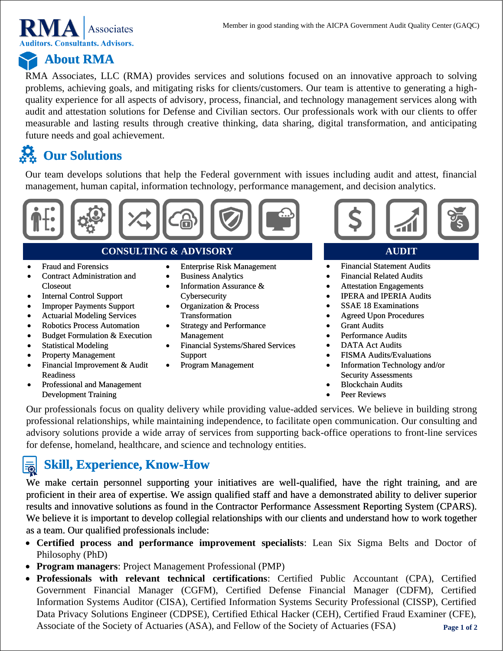

# **About RMA**

RMA Associates, LLC (RMA) provides services and solutions focused on an innovative approach to solving problems, achieving goals, and mitigating risks for clients/customers. Our team is attentive to generating a highquality experience for all aspects of advisory, process, financial, and technology management services along with audit and attestation solutions for Defense and Civilian sectors. Our professionals work with our clients to offer measurable and lasting results through creative thinking, data sharing, digital transformation, and anticipating future needs and goal achievement.

# **Our Solutions**

Our team develops solutions that help the Federal government with issues including audit and attest, financial management, human capital, information technology, performance management, and decision analytics.



### **CONSULTING & ADVISORY**

- Fraud and Forensics
- Contract Administration and Closeout
- Internal Control Support
- Improper Payments Support
- Actuarial Modeling Services
- Robotics Process Automation
- Budget Formulation & Execution
- Statistical Modeling
- Property Management
- Financial Improvement & Audit Readiness
- Professional and Management Development Training
- Enterprise Risk Management
- Business Analytics
- Information Assurance & Cybersecurity
- Organization & Process Transformation
- Strategy and Performance Management
- Financial Systems/Shared Services Support
- Program Management



### **AUDIT**

- Financial Statement Audits
- Financial Related Audits
- Attestation Engagements
- IPERA and IPERIA Audits
- SSAE 18 Examinations
- Agreed Upon Procedures
- **Grant Audits**
- Performance Audits
- DATA Act Audits
- FISMA Audits/Evaluations
- Information Technology and/or Security Assessments
- Blockchain Audits
- Peer Reviews

Our professionals focus on quality delivery while providing value-added services. We believe in building strong professional relationships, while maintaining independence, to facilitate open communication. Our consulting and advisory solutions provide a wide array of services from supporting back-office operations to front-line services for defense, homeland, healthcare, and science and technology entities.

#### **Skill, Experience, Know-How** 虱

We make certain personnel supporting your initiatives are well-qualified, have the right training, and are proficient in their area of expertise. We assign qualified staff and have a demonstrated ability to deliver superior results and innovative solutions as found in the Contractor Performance Assessment Reporting System (CPARS). We believe it is important to develop collegial relationships with our clients and understand how to work together as a team. Our qualified professionals include:

- **Certified process and performance improvement specialists**: Lean Six Sigma Belts and Doctor of Philosophy (PhD)
- **Program managers**: Project Management Professional (PMP)
- **Page 1 of 2** • **Professionals with relevant technical certifications**: Certified Public Accountant (CPA), Certified Government Financial Manager (CGFM), Certified Defense Financial Manager (CDFM), Certified Information Systems Auditor (CISA), Certified Information Systems Security Professional (CISSP), Certified Data Privacy Solutions Engineer (CDPSE), Certified Ethical Hacker (CEH), Certified Fraud Examiner (CFE), Associate of the Society of Actuaries (ASA), and Fellow of the Society of Actuaries (FSA)